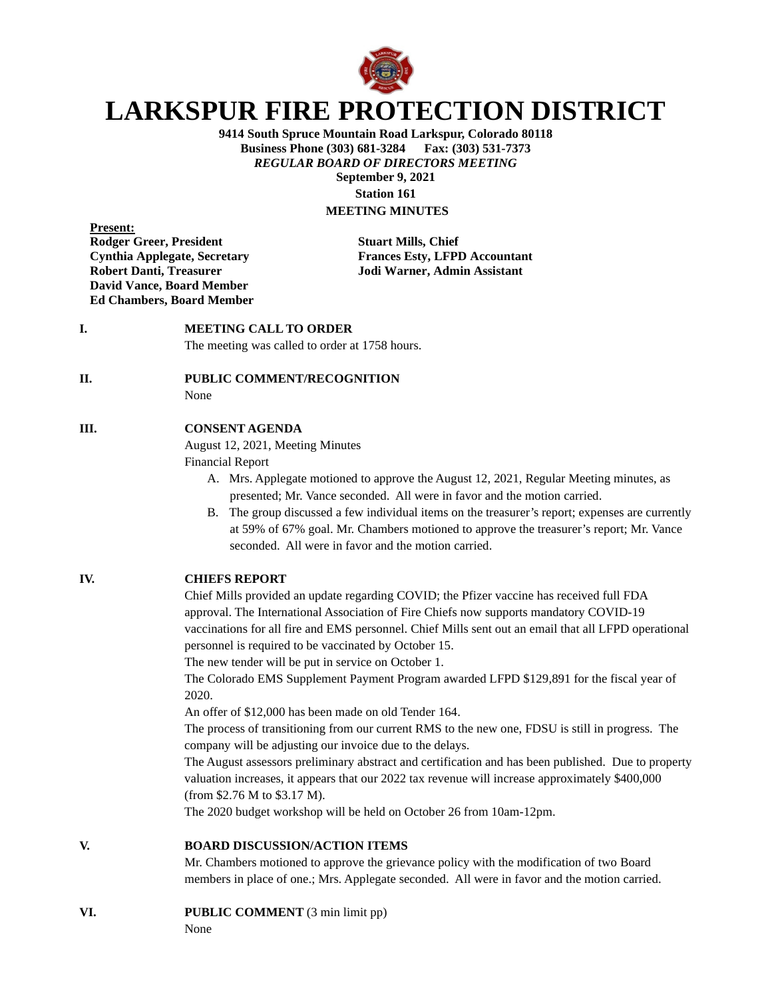

# **LARKSPUR FIRE PROTECTION DISTRICT**

**9414 South Spruce Mountain Road Larkspur, Colorado 80118 Business Phone (303) 681-3284 Fax: (303) 531-7373** *REGULAR BOARD OF DIRECTORS MEETING* **September 9, 2021 Station 161**

## **MEETING MINUTES**

**Present: Rodger Greer, President Stuart Mills, Chief David Vance, Board Member Ed Chambers, Board Member**

**Cynthia Applegate, Secretary Frances Esty, LFPD Accountant Robert Danti, Treasurer Jodi Warner, Admin Assistant**

## **I. MEETING CALL TO ORDER**

The meeting was called to order at 1758 hours.

### **II. PUBLIC COMMENT/RECOGNITION**

None

#### **III. CONSENT AGENDA**

August 12, 2021, Meeting Minutes

Financial Report

- A. Mrs. Applegate motioned to approve the August 12, 2021, Regular Meeting minutes, as presented; Mr. Vance seconded. All were in favor and the motion carried.
- B. The group discussed a few individual items on the treasurer's report; expenses are currently at 59% of 67% goal. Mr. Chambers motioned to approve the treasurer's report; Mr. Vance seconded. All were in favor and the motion carried.

## **IV. CHIEFS REPORT**

Chief Mills provided an update regarding COVID; the Pfizer vaccine has received full FDA approval. The International Association of Fire Chiefs now supports mandatory COVID-19 vaccinations for all fire and EMS personnel. Chief Mills sent out an email that all LFPD operational personnel is required to be vaccinated by October 15.

The new tender will be put in service on October 1.

The Colorado EMS Supplement Payment Program awarded LFPD \$129,891 for the fiscal year of 2020.

An offer of \$12,000 has been made on old Tender 164.

The process of transitioning from our current RMS to the new one, FDSU is still in progress. The company will be adjusting our invoice due to the delays.

The August assessors preliminary abstract and certification and has been published. Due to property valuation increases, it appears that our 2022 tax revenue will increase approximately \$400,000 (from \$2.76 M to \$3.17 M).

The 2020 budget workshop will be held on October 26 from 10am-12pm.

### **V. BOARD DISCUSSION/ACTION ITEMS**

Mr. Chambers motioned to approve the grievance policy with the modification of two Board members in place of one.; Mrs. Applegate seconded. All were in favor and the motion carried.

#### **VI. PUBLIC COMMENT** (3 min limit pp)

None